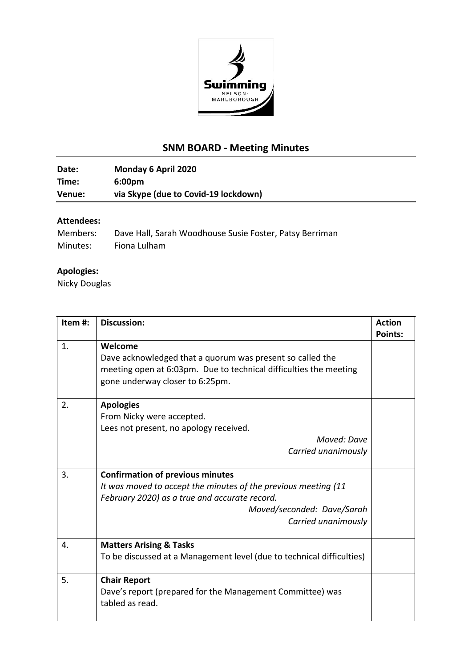

## **SNM BOARD - Meeting Minutes**

**Date: Monday 6 April 2020 Time: 6:00pm Venue: via Skype (due to Covid-19 lockdown)**

## **Attendees:**

| Members: | Dave Hall, Sarah Woodhouse Susie Foster, Patsy Berriman |
|----------|---------------------------------------------------------|
| Minutes: | Fiona Lulham                                            |

## **Apologies:**

Nicky Douglas

| Item#: | <b>Discussion:</b>                                                                                                                                                                                              | <b>Action</b><br><b>Points:</b> |
|--------|-----------------------------------------------------------------------------------------------------------------------------------------------------------------------------------------------------------------|---------------------------------|
| 1.     | Welcome<br>Dave acknowledged that a quorum was present so called the<br>meeting open at 6:03pm. Due to technical difficulties the meeting<br>gone underway closer to 6:25pm.                                    |                                 |
| 2.     | <b>Apologies</b><br>From Nicky were accepted.<br>Lees not present, no apology received.                                                                                                                         |                                 |
|        | Moved: Dave<br>Carried unanimously                                                                                                                                                                              |                                 |
| 3.     | <b>Confirmation of previous minutes</b><br>It was moved to accept the minutes of the previous meeting (11<br>February 2020) as a true and accurate record.<br>Moved/seconded: Dave/Sarah<br>Carried unanimously |                                 |
| 4.     | <b>Matters Arising &amp; Tasks</b><br>To be discussed at a Management level (due to technical difficulties)                                                                                                     |                                 |
| 5.     | <b>Chair Report</b><br>Dave's report (prepared for the Management Committee) was<br>tabled as read.                                                                                                             |                                 |